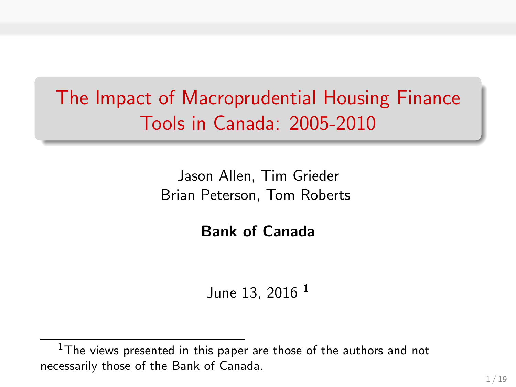## The Impact of Macroprudential Housing Finance Tools in Canada: 2005-2010

Jason Allen, Tim Grieder Brian Peterson, Tom Roberts

Bank of Canada

June 13, 2016<sup>1</sup>

 $1$ The views presented in this paper are those of the authors and not necessarily those of the Bank of Canada.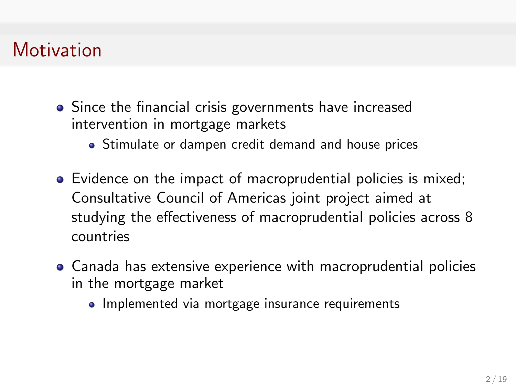## **Motivation**

- Since the financial crisis governments have increased intervention in mortgage markets
	- Stimulate or dampen credit demand and house prices
- Evidence on the impact of macroprudential policies is mixed; Consultative Council of Americas joint project aimed at studying the effectiveness of macroprudential policies across 8 countries
- Canada has extensive experience with macroprudential policies in the mortgage market
	- Implemented via mortgage insurance requirements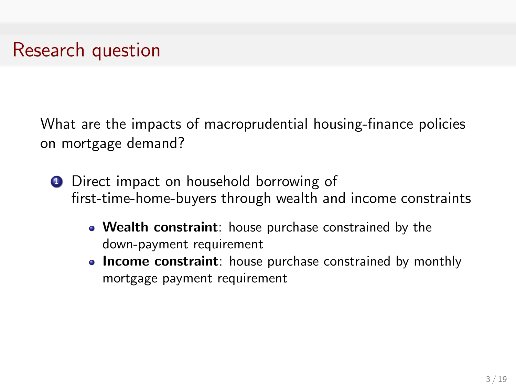### Research question

What are the impacts of macroprudential housing-finance policies on mortgage demand?

- **1** Direct impact on household borrowing of first-time-home-buyers through wealth and income constraints
	- Wealth constraint: house purchase constrained by the down-payment requirement
	- Income constraint: house purchase constrained by monthly mortgage payment requirement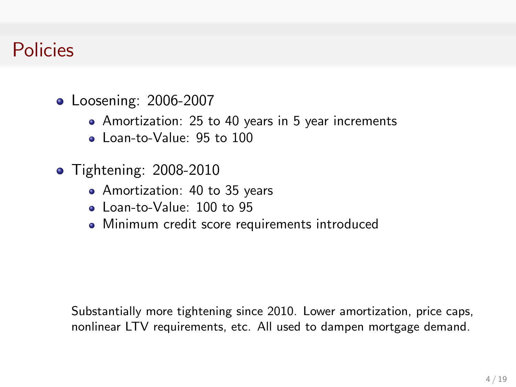### Policies

- **•** Loosening: 2006-2007
	- Amortization: 25 to 40 years in 5 year increments
	- Loan-to-Value: 95 to 100
- **•** Tightening: 2008-2010
	- Amortization: 40 to 35 years
	- Loan-to-Value: 100 to 95
	- Minimum credit score requirements introduced

Substantially more tightening since 2010. Lower amortization, price caps, nonlinear LTV requirements, etc. All used to dampen mortgage demand.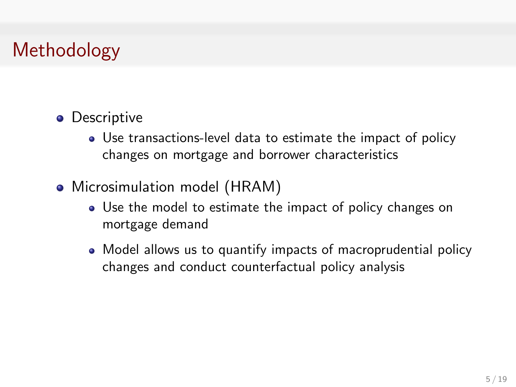## Methodology

- **•** Descriptive
	- Use transactions-level data to estimate the impact of policy changes on mortgage and borrower characteristics
- Microsimulation model (HRAM)
	- Use the model to estimate the impact of policy changes on mortgage demand
	- Model allows us to quantify impacts of macroprudential policy changes and conduct counterfactual policy analysis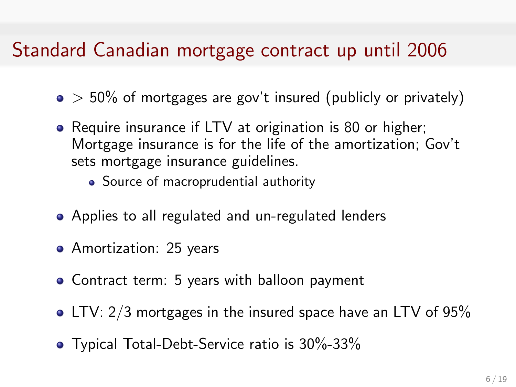## Standard Canadian mortgage contract up until 2006

- $\bullet$  > 50% of mortgages are gov't insured (publicly or privately)
- Require insurance if LTV at origination is 80 or higher; Mortgage insurance is for the life of the amortization; Gov't sets mortgage insurance guidelines.
	- Source of macroprudential authority
- Applies to all regulated and un-regulated lenders
- Amortization: 25 years
- Contract term: 5 years with balloon payment
- LTV: 2/3 mortgages in the insured space have an LTV of 95%
- **•** Typical Total-Debt-Service ratio is 30%-33%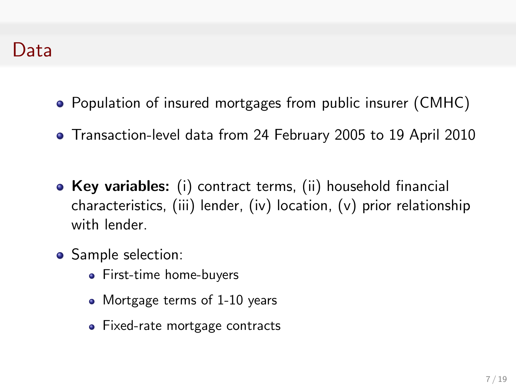- Population of insured mortgages from public insurer (CMHC)
- Transaction-level data from 24 February 2005 to 19 April 2010
- Key variables: (i) contract terms, (ii) household financial characteristics, (iii) lender, (iv) location, (v) prior relationship with lender
- Sample selection:
	- First-time home-buyers
	- Mortgage terms of 1-10 years
	- Fixed-rate mortgage contracts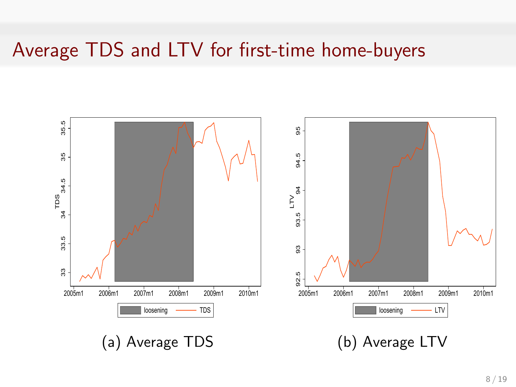### Average TDS and LTV for first-time home-buyers

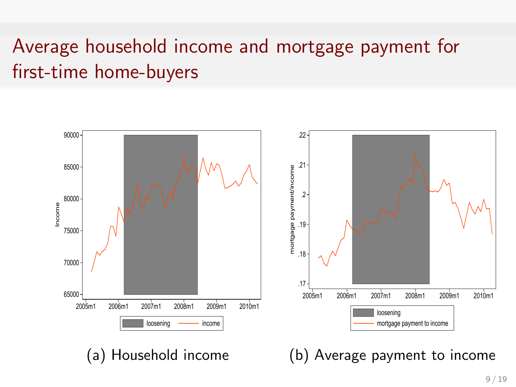## Average household income and mortgage payment for first-time home-buyers

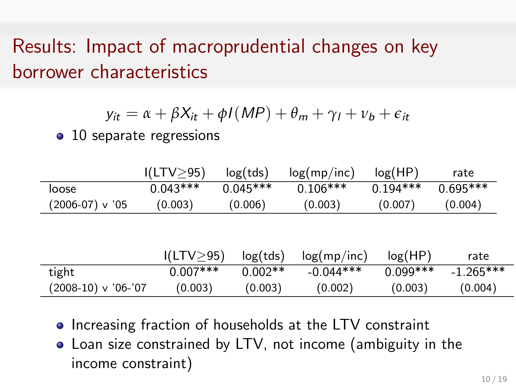## Results: Impact of macroprudential changes on key borrower characteristics

$$
y_{it} = \alpha + \beta X_{it} + \phi I(MP) + \theta_m + \gamma_l + \nu_b + \epsilon_{it}
$$

• 10 separate regressions

|                       | I(LTV > 95)      | log(tds)   | log(mp/inc) | log(HP)    | rate        |
|-----------------------|------------------|------------|-------------|------------|-------------|
| loose                 | $0.043***$       | $0.045***$ | $0.106***$  | $0.194***$ | $0.695***$  |
| (2006-07) v '05       | (0.003)          | (0.006)    | (0.003)     | (0.007)    | (0.004)     |
|                       |                  |            |             |            |             |
|                       |                  |            |             |            |             |
|                       | $I(LTV \geq 95)$ | log(tds)   | log(mp/inc) | log(HP)    | rate        |
| tight                 | $0.007***$       | $0.002**$  | $-0.044***$ | $0.099***$ | $-1.265***$ |
| $(2008-10)$ v '06-'07 | (0.003)          | (0.003)    | (0.002)     | (0.003)    | (0.004)     |

- Increasing fraction of households at the LTV constraint
- Loan size constrained by LTV, not income (ambiguity in the income constraint)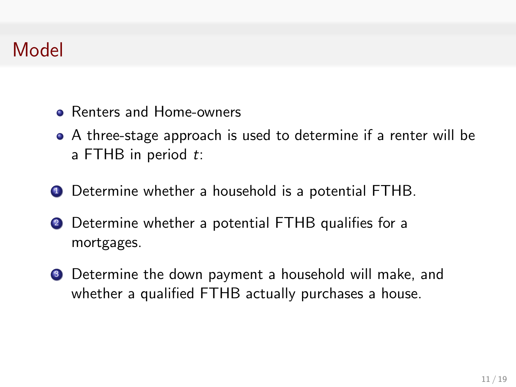## Model

- Renters and Home-owners
- A three-stage approach is used to determine if a renter will be a FTHB in period  $t$ :
- **1** Determine whether a household is a potential FTHB.
- <sup>2</sup> Determine whether a potential FTHB qualifies for a mortgages.
- **3** Determine the down payment a household will make, and whether a qualified FTHB actually purchases a house.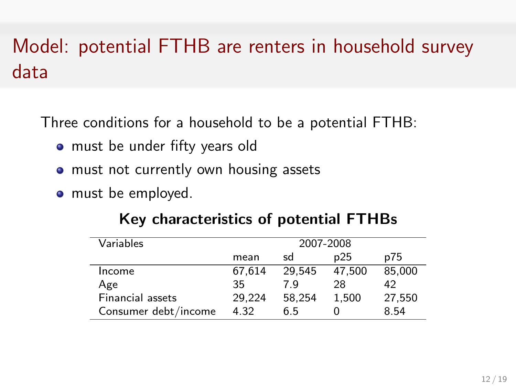# Model: potential FTHB are renters in household survey data

Three conditions for a household to be a potential FTHB:

- must be under fifty years old
- must not currently own housing assets
- must be employed.

| Variables               | 2007-2008 |        |        |        |
|-------------------------|-----------|--------|--------|--------|
|                         | mean      | sd     | p25    | p75    |
| Income                  | 67.614    | 29.545 | 47.500 | 85.000 |
| Age                     | 35        | 7 Q    | 28     | 42     |
| <b>Financial assets</b> | 29.224    | 58.254 | 1.500  | 27.550 |
| Consumer debt/income    | 4.32      | 6.5    |        | 8.54   |

#### Key characteristics of potential FTHBs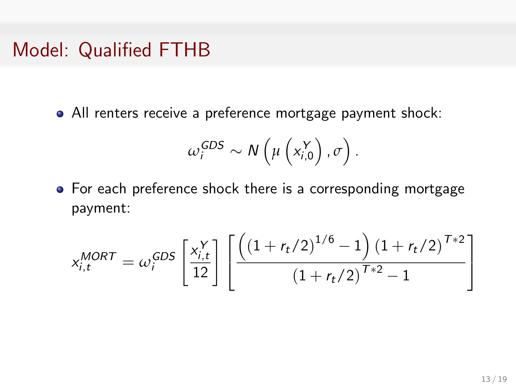#### Model: Qualified FTHB

All renters receive a preference mortgage payment shock:

$$
\omega_i^{GDS} \sim N\left(\mu\left(x_{i,0}^Y\right), \sigma\right).
$$

For each preference shock there is a corresponding mortgage payment:

$$
x_{i,t}^{MORT} = \omega_i^{GDS} \left[ \frac{x_{i,t}^{Y}}{12} \right] \left[ \frac{\left( \left( 1 + r_t/2 \right)^{1/6} - 1 \right) \left( 1 + r_t/2 \right)^{T+2}}{\left( 1 + r_t/2 \right)^{T+2} - 1} \right]
$$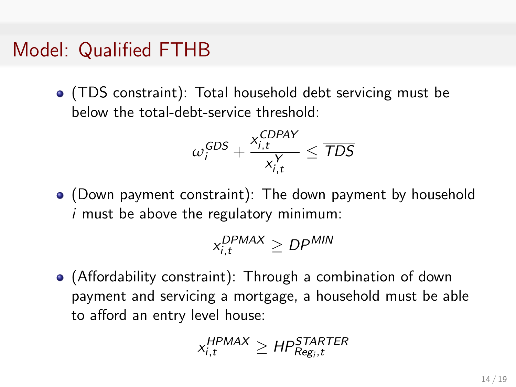#### Model: Qualified FTHB

(TDS constraint): Total household debt servicing must be below the total-debt-service threshold:

$$
\omega_i^{GDS} + \frac{x_{i,t}^{CDPAY}}{x_{i,t}^{Y}} \le \overline{TDS}
$$

(Down payment constraint): The down payment by household  $i$  must be above the regulatory minimum:

$$
x_{i,t}^{DPMAX} \ge DP^{MIN}
$$

(Affordability constraint): Through a combination of down payment and servicing a mortgage, a household must be able to afford an entry level house:

$$
x_{i,t}^{\text{HPMAX}} \ge \text{HP}_{\text{Reg}_i,t}^{\text{STARTER}}
$$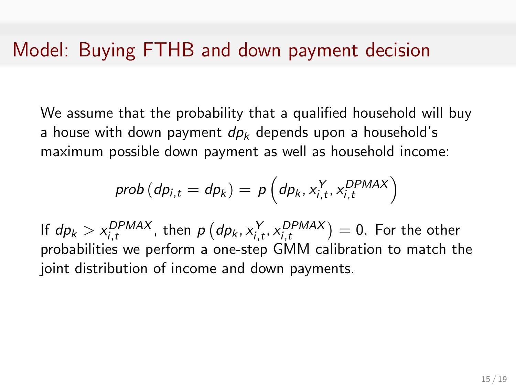#### Model: Buying FTHB and down payment decision

We assume that the probability that a qualified household will buy a house with down payment  $dp_k$  depends upon a household's maximum possible down payment as well as household income:

$$
prob\left(dp_{i,t} = dp_k\right) = p\left(dp_k, x_{i,t}^Y, x_{i,t}^{DPMAX}\right)
$$

If  $dp_k > x_{i,t}^{DPMAX}$ , then  $p\left(dp_k, x_{i,t}^Y, x_{i,t}^{DPMAX}\right) = 0$ . For the other probabilities we perform a one-step GMM calibration to match the joint distribution of income and down payments.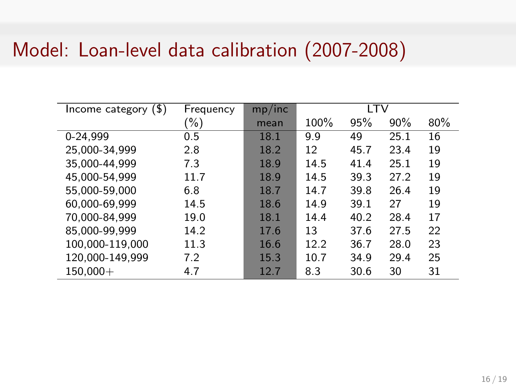### Model: Loan-level data calibration (2007-2008)

| Income category $(\$)$ | Frequency | mp/inc | LTV  |      |      |     |
|------------------------|-----------|--------|------|------|------|-----|
|                        | (%)       | mean   | 100% | 95%  | 90%  | 80% |
| 0-24,999               | 0.5       | 18.1   | 9.9  | 49   | 25.1 | 16  |
| 25,000-34,999          | 2.8       | 18.2   | 12   | 45.7 | 23.4 | 19  |
| 35.000-44.999          | 7.3       | 18.9   | 14.5 | 41.4 | 25.1 | 19  |
| 45,000-54,999          | 11.7      | 18.9   | 14.5 | 39.3 | 27.2 | 19  |
| 55,000-59,000          | 6.8       | 18.7   | 14.7 | 39.8 | 26.4 | 19  |
| 60,000-69,999          | 14.5      | 18.6   | 14.9 | 39.1 | 27   | 19  |
| 70.000-84.999          | 19.0      | 18.1   | 14.4 | 40.2 | 28.4 | 17  |
| 85,000-99,999          | 14.2      | 17.6   | 13   | 37.6 | 27.5 | 22  |
| 100,000-119,000        | 11.3      | 16.6   | 12.2 | 36.7 | 28.0 | 23  |
| 120,000-149,999        | 7.2       | 15.3   | 10.7 | 34.9 | 29.4 | 25  |
| $150,000+$             | 4.7       | 12.7   | 8.3  | 30.6 | 30   | 31  |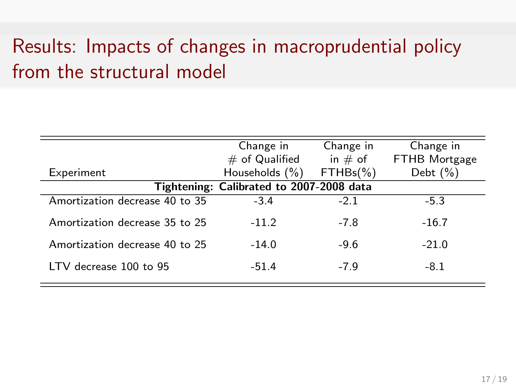## Results: Impacts of changes in macroprudential policy from the structural model

|                                          | Change in         | Change in    | Change in            |  |  |  |
|------------------------------------------|-------------------|--------------|----------------------|--|--|--|
|                                          | $\#$ of Qualified | in $#$ of    | <b>FTHB Mortgage</b> |  |  |  |
| Experiment                               | Households $(\%)$ | $FTHBs(\% )$ | Debt $(\%)$          |  |  |  |
| Tightening: Calibrated to 2007-2008 data |                   |              |                      |  |  |  |
| Amortization decrease 40 to 35           | $-3.4$            | $-2.1$       | $-5.3$               |  |  |  |
| Amortization decrease 35 to 25           | $-11.2$           | $-7.8$       | $-16.7$              |  |  |  |
| Amortization decrease 40 to 25           | $-14.0$           | $-9.6$       | $-21.0$              |  |  |  |
| LTV decrease 100 to 95                   | $-51.4$           | $-7.9$       | $-8.1$               |  |  |  |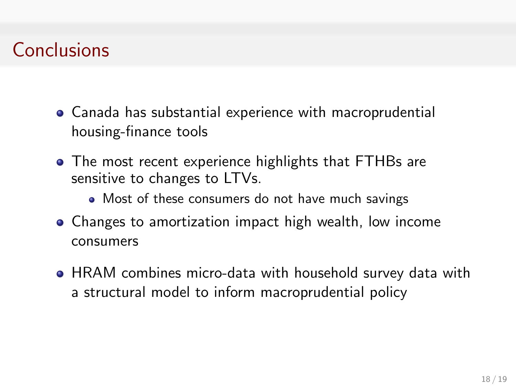## **Conclusions**

- Canada has substantial experience with macroprudential housing-finance tools
- The most recent experience highlights that FTHBs are sensitive to changes to LTVs.
	- Most of these consumers do not have much savings
- Changes to amortization impact high wealth, low income consumers
- HRAM combines micro-data with household survey data with a structural model to inform macroprudential policy